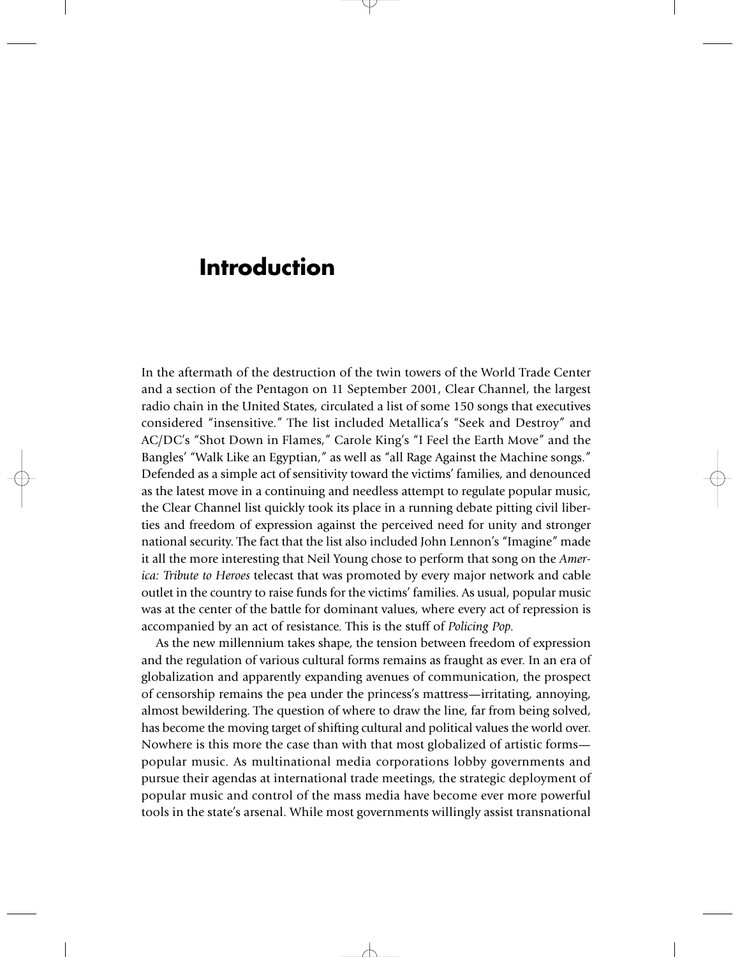## **Introduction**

In the aftermath of the destruction of the twin towers of the World Trade Center and a section of the Pentagon on 11 September 2001, Clear Channel, the largest radio chain in the United States, circulated a list of some 150 songs that executives considered "insensitive." The list included Metallica's "Seek and Destroy" and AC/DC's "Shot Down in Flames," Carole King's "I Feel the Earth Move" and the Bangles' "Walk Like an Egyptian," as well as "all Rage Against the Machine songs." Defended as a simple act of sensitivity toward the victims' families, and denounced as the latest move in a continuing and needless attempt to regulate popular music, the Clear Channel list quickly took its place in a running debate pitting civil liberties and freedom of expression against the perceived need for unity and stronger national security. The fact that the list also included John Lennon's "Imagine" made it all the more interesting that Neil Young chose to perform that song on the *America: Tribute to Heroes* telecast that was promoted by every major network and cable outlet in the country to raise funds for the victims' families. As usual, popular music was at the center of the battle for dominant values, where every act of repression is accompanied by an act of resistance. This is the stuff of *Policing Pop.*

As the new millennium takes shape, the tension between freedom of expression and the regulation of various cultural forms remains as fraught as ever. In an era of globalization and apparently expanding avenues of communication, the prospect of censorship remains the pea under the princess's mattress—irritating, annoying, almost bewildering. The question of where to draw the line, far from being solved, has become the moving target of shifting cultural and political values the world over. Nowhere is this more the case than with that most globalized of artistic forms popular music. As multinational media corporations lobby governments and pursue their agendas at international trade meetings, the strategic deployment of popular music and control of the mass media have become ever more powerful tools in the state's arsenal. While most governments willingly assist transnational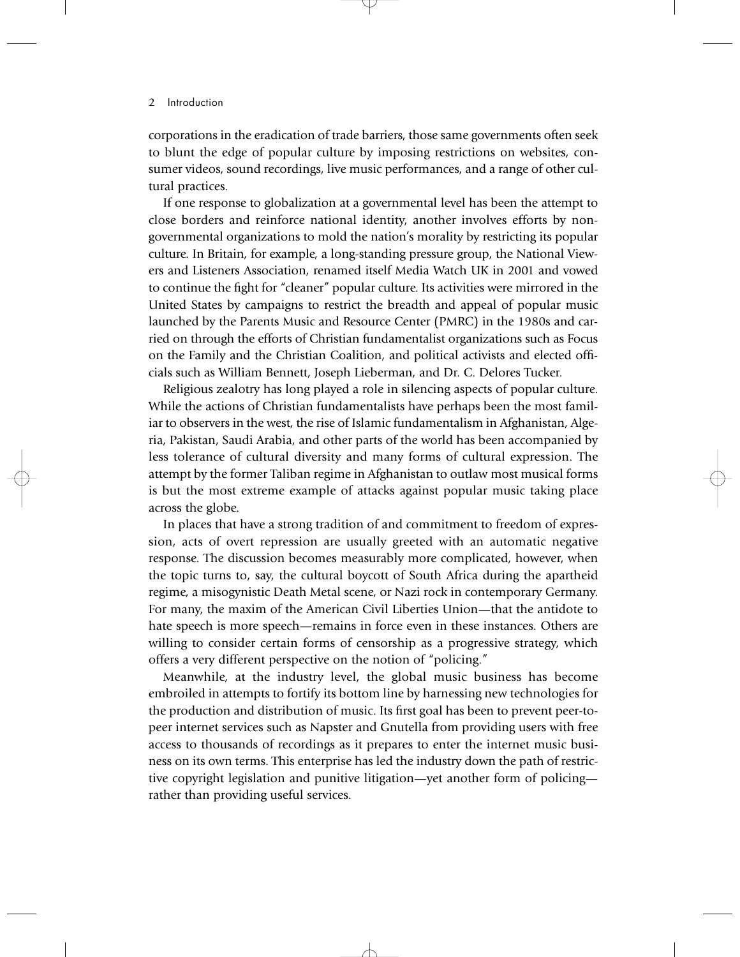#### 2 Introduction

corporations in the eradication of trade barriers, those same governments often seek to blunt the edge of popular culture by imposing restrictions on websites, consumer videos, sound recordings, live music performances, and a range of other cultural practices.

If one response to globalization at a governmental level has been the attempt to close borders and reinforce national identity, another involves efforts by nongovernmental organizations to mold the nation's morality by restricting its popular culture. In Britain, for example, a long-standing pressure group, the National Viewers and Listeners Association, renamed itself Media Watch UK in 2001 and vowed to continue the fight for "cleaner" popular culture. Its activities were mirrored in the United States by campaigns to restrict the breadth and appeal of popular music launched by the Parents Music and Resource Center (PMRC) in the 1980s and carried on through the efforts of Christian fundamentalist organizations such as Focus on the Family and the Christian Coalition, and political activists and elected officials such as William Bennett, Joseph Lieberman, and Dr. C. Delores Tucker.

Religious zealotry has long played a role in silencing aspects of popular culture. While the actions of Christian fundamentalists have perhaps been the most familiar to observers in the west, the rise of Islamic fundamentalism in Afghanistan, Algeria, Pakistan, Saudi Arabia, and other parts of the world has been accompanied by less tolerance of cultural diversity and many forms of cultural expression. The attempt by the former Taliban regime in Afghanistan to outlaw most musical forms is but the most extreme example of attacks against popular music taking place across the globe.

In places that have a strong tradition of and commitment to freedom of expression, acts of overt repression are usually greeted with an automatic negative response. The discussion becomes measurably more complicated, however, when the topic turns to, say, the cultural boycott of South Africa during the apartheid regime, a misogynistic Death Metal scene, or Nazi rock in contemporary Germany. For many, the maxim of the American Civil Liberties Union—that the antidote to hate speech is more speech—remains in force even in these instances. Others are willing to consider certain forms of censorship as a progressive strategy, which offers a very different perspective on the notion of "policing."

Meanwhile, at the industry level, the global music business has become embroiled in attempts to fortify its bottom line by harnessing new technologies for the production and distribution of music. Its first goal has been to prevent peer-topeer internet services such as Napster and Gnutella from providing users with free access to thousands of recordings as it prepares to enter the internet music business on its own terms. This enterprise has led the industry down the path of restrictive copyright legislation and punitive litigation—yet another form of policing rather than providing useful services.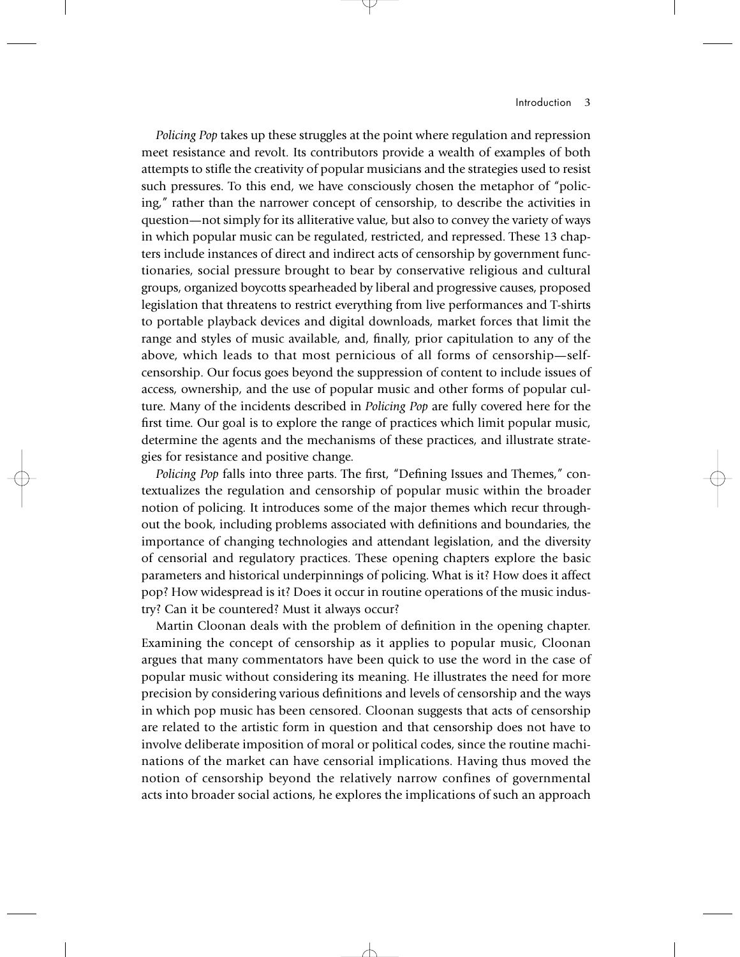*Policing Pop* takes up these struggles at the point where regulation and repression meet resistance and revolt. Its contributors provide a wealth of examples of both attempts to stifle the creativity of popular musicians and the strategies used to resist such pressures. To this end, we have consciously chosen the metaphor of "policing," rather than the narrower concept of censorship, to describe the activities in question—not simply for its alliterative value, but also to convey the variety of ways in which popular music can be regulated, restricted, and repressed. These 13 chapters include instances of direct and indirect acts of censorship by government functionaries, social pressure brought to bear by conservative religious and cultural groups, organized boycotts spearheaded by liberal and progressive causes, proposed legislation that threatens to restrict everything from live performances and T-shirts to portable playback devices and digital downloads, market forces that limit the range and styles of music available, and, finally, prior capitulation to any of the above, which leads to that most pernicious of all forms of censorship—selfcensorship. Our focus goes beyond the suppression of content to include issues of access, ownership, and the use of popular music and other forms of popular culture. Many of the incidents described in *Policing Pop* are fully covered here for the first time. Our goal is to explore the range of practices which limit popular music, determine the agents and the mechanisms of these practices, and illustrate strategies for resistance and positive change.

*Policing Pop* falls into three parts. The first, "Defining Issues and Themes," contextualizes the regulation and censorship of popular music within the broader notion of policing. It introduces some of the major themes which recur throughout the book, including problems associated with definitions and boundaries, the importance of changing technologies and attendant legislation, and the diversity of censorial and regulatory practices. These opening chapters explore the basic parameters and historical underpinnings of policing. What is it? How does it affect pop? How widespread is it? Does it occur in routine operations of the music industry? Can it be countered? Must it always occur?

Martin Cloonan deals with the problem of definition in the opening chapter. Examining the concept of censorship as it applies to popular music, Cloonan argues that many commentators have been quick to use the word in the case of popular music without considering its meaning. He illustrates the need for more precision by considering various definitions and levels of censorship and the ways in which pop music has been censored. Cloonan suggests that acts of censorship are related to the artistic form in question and that censorship does not have to involve deliberate imposition of moral or political codes, since the routine machinations of the market can have censorial implications. Having thus moved the notion of censorship beyond the relatively narrow confines of governmental acts into broader social actions, he explores the implications of such an approach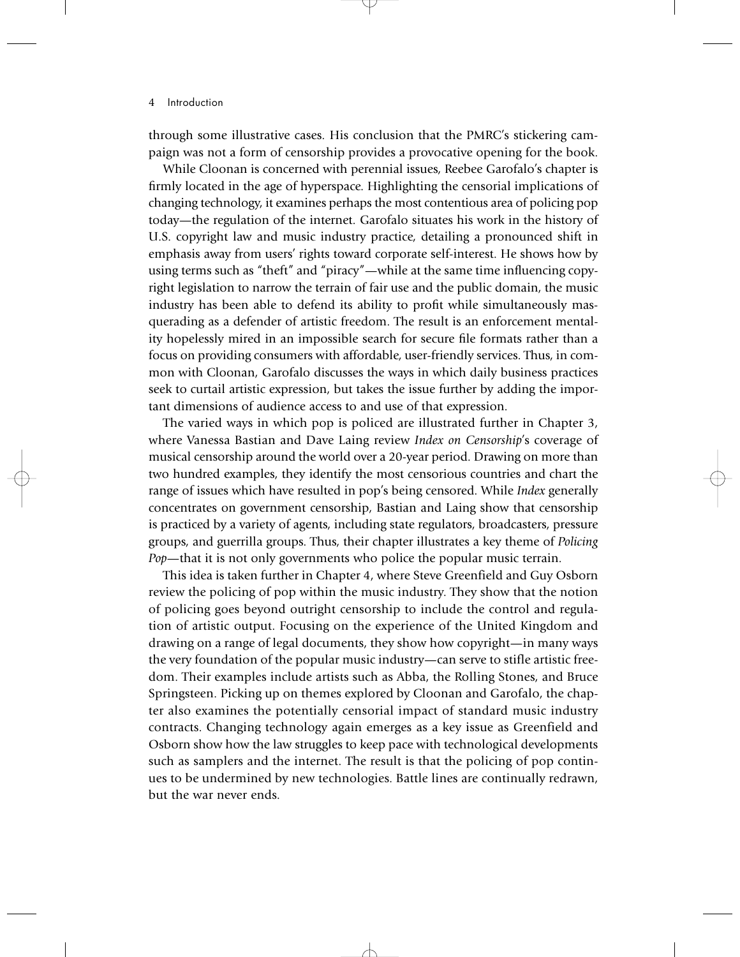through some illustrative cases. His conclusion that the PMRC's stickering campaign was not a form of censorship provides a provocative opening for the book.

While Cloonan is concerned with perennial issues, Reebee Garofalo's chapter is firmly located in the age of hyperspace. Highlighting the censorial implications of changing technology, it examines perhaps the most contentious area of policing pop today—the regulation of the internet. Garofalo situates his work in the history of U.S. copyright law and music industry practice, detailing a pronounced shift in emphasis away from users' rights toward corporate self-interest. He shows how by using terms such as "theft" and "piracy"—while at the same time influencing copyright legislation to narrow the terrain of fair use and the public domain, the music industry has been able to defend its ability to profit while simultaneously masquerading as a defender of artistic freedom. The result is an enforcement mentality hopelessly mired in an impossible search for secure file formats rather than a focus on providing consumers with affordable, user-friendly services. Thus, in common with Cloonan, Garofalo discusses the ways in which daily business practices seek to curtail artistic expression, but takes the issue further by adding the important dimensions of audience access to and use of that expression.

The varied ways in which pop is policed are illustrated further in Chapter 3, where Vanessa Bastian and Dave Laing review *Index on Censorship*'s coverage of musical censorship around the world over a 20-year period. Drawing on more than two hundred examples, they identify the most censorious countries and chart the range of issues which have resulted in pop's being censored. While *Index* generally concentrates on government censorship, Bastian and Laing show that censorship is practiced by a variety of agents, including state regulators, broadcasters, pressure groups, and guerrilla groups. Thus, their chapter illustrates a key theme of *Policing Pop*—that it is not only governments who police the popular music terrain.

This idea is taken further in Chapter 4, where Steve Greenfield and Guy Osborn review the policing of pop within the music industry. They show that the notion of policing goes beyond outright censorship to include the control and regulation of artistic output. Focusing on the experience of the United Kingdom and drawing on a range of legal documents, they show how copyright—in many ways the very foundation of the popular music industry—can serve to stifle artistic freedom. Their examples include artists such as Abba, the Rolling Stones, and Bruce Springsteen. Picking up on themes explored by Cloonan and Garofalo, the chapter also examines the potentially censorial impact of standard music industry contracts. Changing technology again emerges as a key issue as Greenfield and Osborn show how the law struggles to keep pace with technological developments such as samplers and the internet. The result is that the policing of pop continues to be undermined by new technologies. Battle lines are continually redrawn, but the war never ends.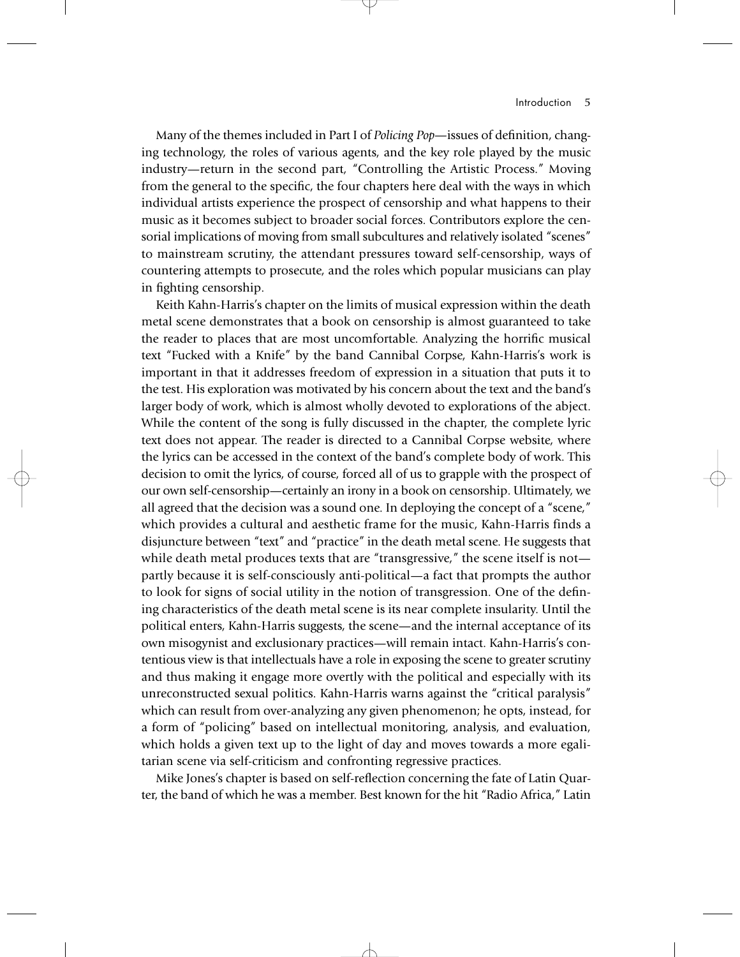Many of the themes included in Part I of *Policing Pop—*issues of definition, changing technology, the roles of various agents, and the key role played by the music industry—return in the second part*,* "Controlling the Artistic Process." Moving from the general to the specific, the four chapters here deal with the ways in which individual artists experience the prospect of censorship and what happens to their music as it becomes subject to broader social forces. Contributors explore the censorial implications of moving from small subcultures and relatively isolated "scenes" to mainstream scrutiny, the attendant pressures toward self-censorship, ways of countering attempts to prosecute, and the roles which popular musicians can play in fighting censorship.

Keith Kahn-Harris's chapter on the limits of musical expression within the death metal scene demonstrates that a book on censorship is almost guaranteed to take the reader to places that are most uncomfortable. Analyzing the horrific musical text "Fucked with a Knife" by the band Cannibal Corpse, Kahn-Harris's work is important in that it addresses freedom of expression in a situation that puts it to the test. His exploration was motivated by his concern about the text and the band's larger body of work, which is almost wholly devoted to explorations of the abject. While the content of the song is fully discussed in the chapter, the complete lyric text does not appear. The reader is directed to a Cannibal Corpse website, where the lyrics can be accessed in the context of the band's complete body of work. This decision to omit the lyrics, of course, forced all of us to grapple with the prospect of our own self-censorship—certainly an irony in a book on censorship. Ultimately, we all agreed that the decision was a sound one. In deploying the concept of a "scene," which provides a cultural and aesthetic frame for the music, Kahn-Harris finds a disjuncture between "text" and "practice" in the death metal scene. He suggests that while death metal produces texts that are "transgressive," the scene itself is not partly because it is self-consciously anti-political—a fact that prompts the author to look for signs of social utility in the notion of transgression. One of the defining characteristics of the death metal scene is its near complete insularity. Until the political enters, Kahn-Harris suggests, the scene—and the internal acceptance of its own misogynist and exclusionary practices—will remain intact. Kahn-Harris's contentious view is that intellectuals have a role in exposing the scene to greater scrutiny and thus making it engage more overtly with the political and especially with its unreconstructed sexual politics. Kahn-Harris warns against the "critical paralysis" which can result from over-analyzing any given phenomenon; he opts, instead, for a form of "policing" based on intellectual monitoring, analysis, and evaluation, which holds a given text up to the light of day and moves towards a more egalitarian scene via self-criticism and confronting regressive practices.

Mike Jones's chapter is based on self-reflection concerning the fate of Latin Quarter, the band of which he was a member. Best known for the hit "Radio Africa," Latin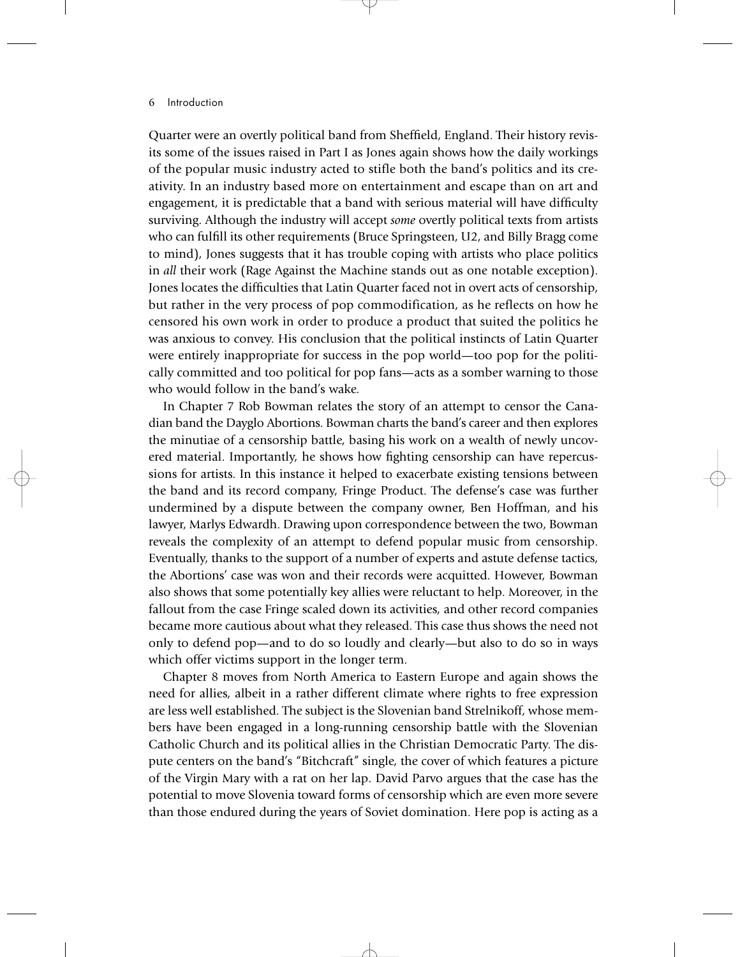Quarter were an overtly political band from Sheffield, England. Their history revisits some of the issues raised in Part I as Jones again shows how the daily workings of the popular music industry acted to stifle both the band's politics and its creativity. In an industry based more on entertainment and escape than on art and engagement, it is predictable that a band with serious material will have difficulty surviving. Although the industry will accept *some* overtly political texts from artists who can fulfill its other requirements (Bruce Springsteen, U2, and Billy Bragg come to mind), Jones suggests that it has trouble coping with artists who place politics in *all* their work (Rage Against the Machine stands out as one notable exception). Jones locates the difficulties that Latin Quarter faced not in overt acts of censorship, but rather in the very process of pop commodification, as he reflects on how he censored his own work in order to produce a product that suited the politics he was anxious to convey. His conclusion that the political instincts of Latin Quarter were entirely inappropriate for success in the pop world—too pop for the politically committed and too political for pop fans—acts as a somber warning to those who would follow in the band's wake.

In Chapter 7 Rob Bowman relates the story of an attempt to censor the Canadian band the Dayglo Abortions. Bowman charts the band's career and then explores the minutiae of a censorship battle, basing his work on a wealth of newly uncovered material. Importantly, he shows how fighting censorship can have repercussions for artists. In this instance it helped to exacerbate existing tensions between the band and its record company, Fringe Product. The defense's case was further undermined by a dispute between the company owner, Ben Hoffman, and his lawyer, Marlys Edwardh. Drawing upon correspondence between the two, Bowman reveals the complexity of an attempt to defend popular music from censorship. Eventually, thanks to the support of a number of experts and astute defense tactics, the Abortions' case was won and their records were acquitted. However, Bowman also shows that some potentially key allies were reluctant to help. Moreover, in the fallout from the case Fringe scaled down its activities, and other record companies became more cautious about what they released. This case thus shows the need not only to defend pop—and to do so loudly and clearly—but also to do so in ways which offer victims support in the longer term.

Chapter 8 moves from North America to Eastern Europe and again shows the need for allies, albeit in a rather different climate where rights to free expression are less well established. The subject is the Slovenian band Strelnikoff, whose members have been engaged in a long-running censorship battle with the Slovenian Catholic Church and its political allies in the Christian Democratic Party. The dispute centers on the band's "Bitchcraft" single, the cover of which features a picture of the Virgin Mary with a rat on her lap. David Parvo argues that the case has the potential to move Slovenia toward forms of censorship which are even more severe than those endured during the years of Soviet domination. Here pop is acting as a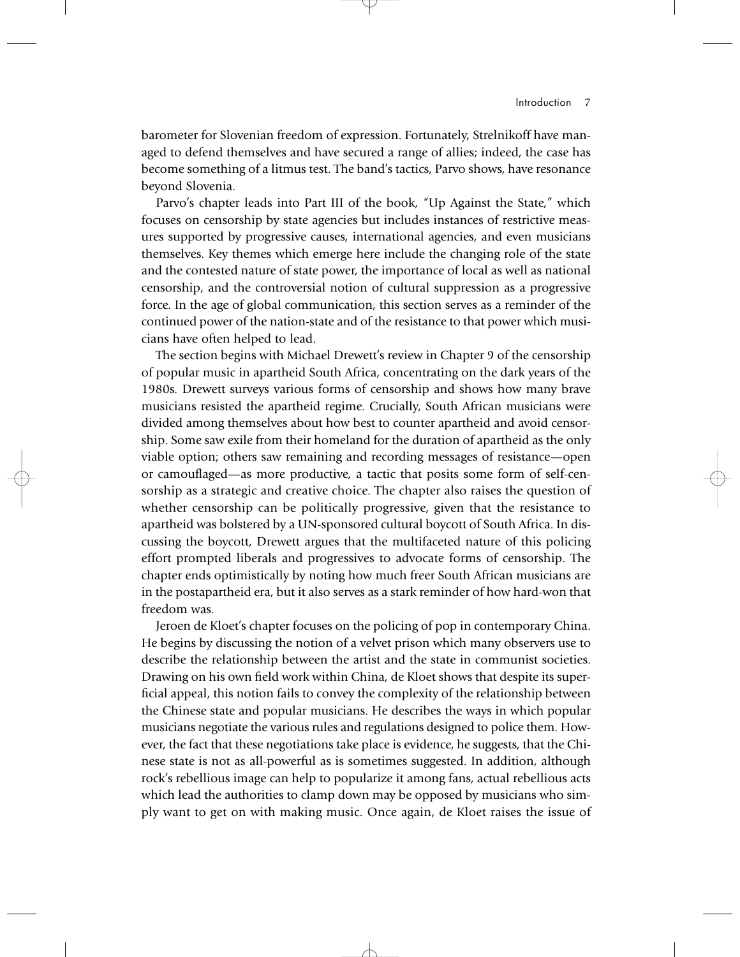barometer for Slovenian freedom of expression. Fortunately, Strelnikoff have managed to defend themselves and have secured a range of allies; indeed, the case has become something of a litmus test. The band's tactics, Parvo shows, have resonance beyond Slovenia.

Parvo's chapter leads into Part III of the book, "Up Against the State," which focuses on censorship by state agencies but includes instances of restrictive measures supported by progressive causes, international agencies, and even musicians themselves. Key themes which emerge here include the changing role of the state and the contested nature of state power, the importance of local as well as national censorship, and the controversial notion of cultural suppression as a progressive force. In the age of global communication, this section serves as a reminder of the continued power of the nation-state and of the resistance to that power which musicians have often helped to lead.

The section begins with Michael Drewett's review in Chapter 9 of the censorship of popular music in apartheid South Africa, concentrating on the dark years of the 1980s. Drewett surveys various forms of censorship and shows how many brave musicians resisted the apartheid regime. Crucially, South African musicians were divided among themselves about how best to counter apartheid and avoid censorship. Some saw exile from their homeland for the duration of apartheid as the only viable option; others saw remaining and recording messages of resistance—open or camouflaged—as more productive, a tactic that posits some form of self-censorship as a strategic and creative choice. The chapter also raises the question of whether censorship can be politically progressive, given that the resistance to apartheid was bolstered by a UN-sponsored cultural boycott of South Africa. In discussing the boycott, Drewett argues that the multifaceted nature of this policing effort prompted liberals and progressives to advocate forms of censorship. The chapter ends optimistically by noting how much freer South African musicians are in the postapartheid era, but it also serves as a stark reminder of how hard-won that freedom was.

Jeroen de Kloet's chapter focuses on the policing of pop in contemporary China. He begins by discussing the notion of a velvet prison which many observers use to describe the relationship between the artist and the state in communist societies. Drawing on his own field work within China, de Kloet shows that despite its superficial appeal, this notion fails to convey the complexity of the relationship between the Chinese state and popular musicians. He describes the ways in which popular musicians negotiate the various rules and regulations designed to police them. However, the fact that these negotiations take place is evidence, he suggests, that the Chinese state is not as all-powerful as is sometimes suggested. In addition, although rock's rebellious image can help to popularize it among fans, actual rebellious acts which lead the authorities to clamp down may be opposed by musicians who simply want to get on with making music. Once again, de Kloet raises the issue of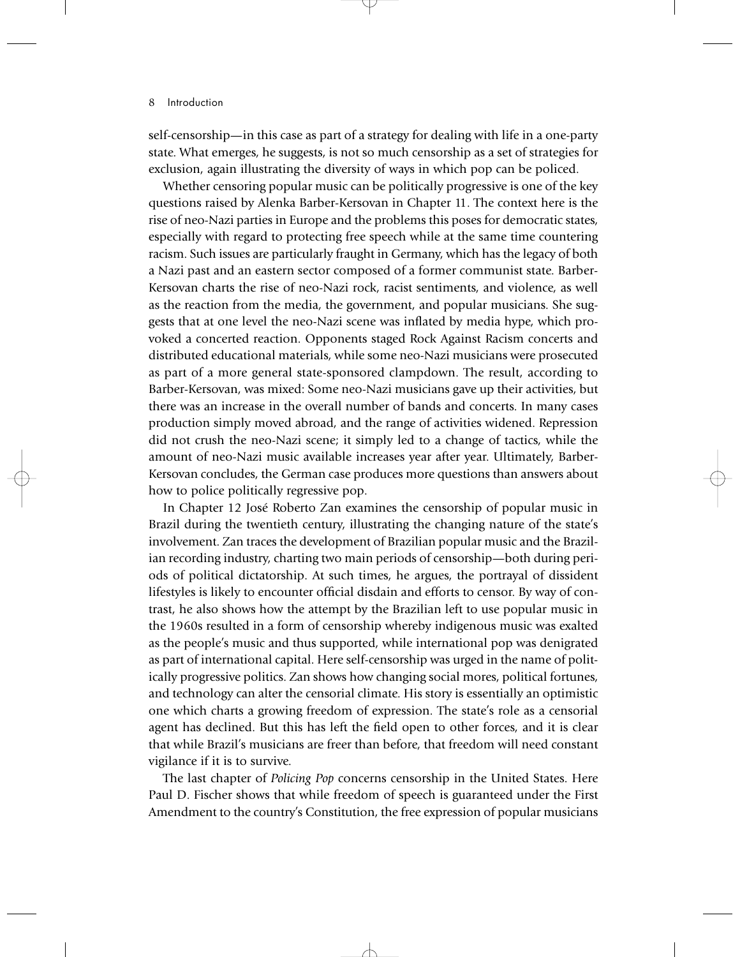self-censorship—in this case as part of a strategy for dealing with life in a one-party state. What emerges, he suggests, is not so much censorship as a set of strategies for exclusion, again illustrating the diversity of ways in which pop can be policed.

Whether censoring popular music can be politically progressive is one of the key questions raised by Alenka Barber-Kersovan in Chapter 11. The context here is the rise of neo-Nazi parties in Europe and the problems this poses for democratic states, especially with regard to protecting free speech while at the same time countering racism. Such issues are particularly fraught in Germany, which has the legacy of both a Nazi past and an eastern sector composed of a former communist state. Barber-Kersovan charts the rise of neo-Nazi rock, racist sentiments, and violence, as well as the reaction from the media, the government, and popular musicians. She suggests that at one level the neo-Nazi scene was inflated by media hype, which provoked a concerted reaction. Opponents staged Rock Against Racism concerts and distributed educational materials, while some neo-Nazi musicians were prosecuted as part of a more general state-sponsored clampdown. The result, according to Barber-Kersovan, was mixed: Some neo-Nazi musicians gave up their activities, but there was an increase in the overall number of bands and concerts. In many cases production simply moved abroad, and the range of activities widened. Repression did not crush the neo-Nazi scene; it simply led to a change of tactics, while the amount of neo-Nazi music available increases year after year. Ultimately, Barber-Kersovan concludes, the German case produces more questions than answers about how to police politically regressive pop.

In Chapter 12 José Roberto Zan examines the censorship of popular music in Brazil during the twentieth century, illustrating the changing nature of the state's involvement. Zan traces the development of Brazilian popular music and the Brazilian recording industry, charting two main periods of censorship—both during periods of political dictatorship. At such times, he argues, the portrayal of dissident lifestyles is likely to encounter official disdain and efforts to censor. By way of contrast, he also shows how the attempt by the Brazilian left to use popular music in the 1960s resulted in a form of censorship whereby indigenous music was exalted as the people's music and thus supported, while international pop was denigrated as part of international capital. Here self-censorship was urged in the name of politically progressive politics. Zan shows how changing social mores, political fortunes, and technology can alter the censorial climate. His story is essentially an optimistic one which charts a growing freedom of expression. The state's role as a censorial agent has declined. But this has left the field open to other forces, and it is clear that while Brazil's musicians are freer than before, that freedom will need constant vigilance if it is to survive.

The last chapter of *Policing Pop* concerns censorship in the United States. Here Paul D. Fischer shows that while freedom of speech is guaranteed under the First Amendment to the country's Constitution, the free expression of popular musicians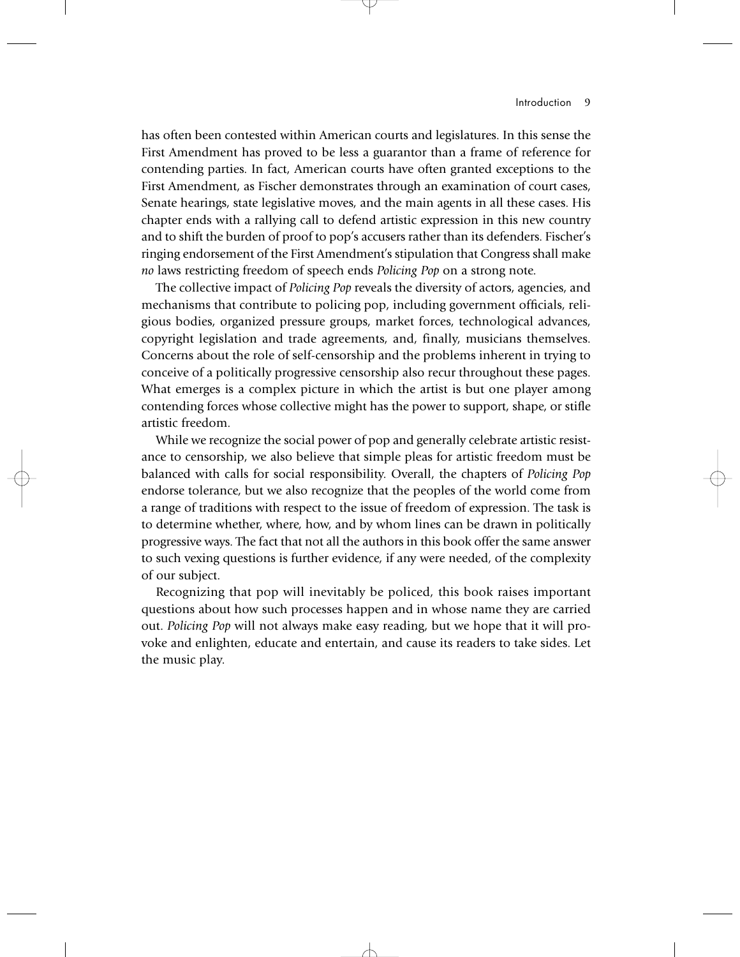has often been contested within American courts and legislatures. In this sense the First Amendment has proved to be less a guarantor than a frame of reference for contending parties. In fact, American courts have often granted exceptions to the First Amendment, as Fischer demonstrates through an examination of court cases, Senate hearings, state legislative moves, and the main agents in all these cases. His chapter ends with a rallying call to defend artistic expression in this new country and to shift the burden of proof to pop's accusers rather than its defenders. Fischer's ringing endorsement of the First Amendment's stipulation that Congress shall make *no* laws restricting freedom of speech ends *Policing Pop* on a strong note.

The collective impact of *Policing Pop* reveals the diversity of actors, agencies, and mechanisms that contribute to policing pop, including government officials, religious bodies, organized pressure groups, market forces, technological advances, copyright legislation and trade agreements, and, finally, musicians themselves. Concerns about the role of self-censorship and the problems inherent in trying to conceive of a politically progressive censorship also recur throughout these pages. What emerges is a complex picture in which the artist is but one player among contending forces whose collective might has the power to support, shape, or stifle artistic freedom.

While we recognize the social power of pop and generally celebrate artistic resistance to censorship, we also believe that simple pleas for artistic freedom must be balanced with calls for social responsibility. Overall, the chapters of *Policing Pop* endorse tolerance, but we also recognize that the peoples of the world come from a range of traditions with respect to the issue of freedom of expression. The task is to determine whether, where, how, and by whom lines can be drawn in politically progressive ways. The fact that not all the authors in this book offer the same answer to such vexing questions is further evidence, if any were needed, of the complexity of our subject.

Recognizing that pop will inevitably be policed, this book raises important questions about how such processes happen and in whose name they are carried out. *Policing Pop* will not always make easy reading, but we hope that it will provoke and enlighten, educate and entertain, and cause its readers to take sides. Let the music play.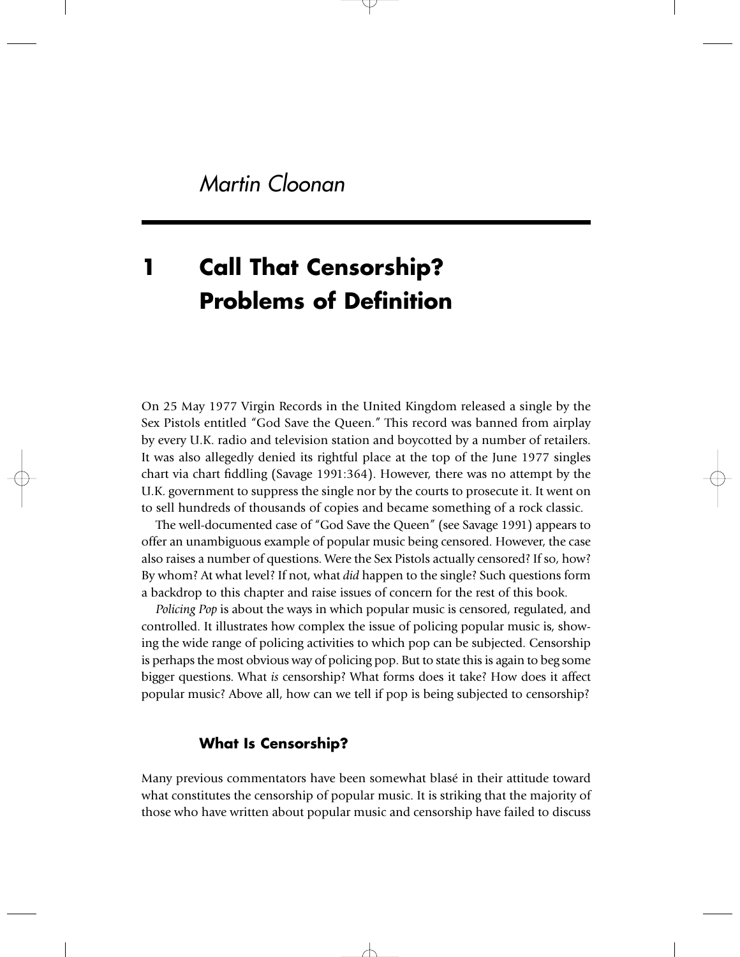# **1 Call That Censorship? Problems of Definition**

On 25 May 1977 Virgin Records in the United Kingdom released a single by the Sex Pistols entitled "God Save the Queen." This record was banned from airplay by every U.K. radio and television station and boycotted by a number of retailers. It was also allegedly denied its rightful place at the top of the June 1977 singles chart via chart fiddling (Savage 1991:364). However, there was no attempt by the U.K. government to suppress the single nor by the courts to prosecute it. It went on to sell hundreds of thousands of copies and became something of a rock classic.

The well-documented case of "God Save the Queen" (see Savage 1991) appears to offer an unambiguous example of popular music being censored. However, the case also raises a number of questions. Were the Sex Pistols actually censored? If so, how? By whom? At what level? If not, what *did* happen to the single? Such questions form a backdrop to this chapter and raise issues of concern for the rest of this book.

*Policing Pop* is about the ways in which popular music is censored, regulated, and controlled. It illustrates how complex the issue of policing popular music is, showing the wide range of policing activities to which pop can be subjected. Censorship is perhaps the most obvious way of policing pop. But to state this is again to beg some bigger questions. What *is* censorship? What forms does it take? How does it affect popular music? Above all, how can we tell if pop is being subjected to censorship?

#### **What Is Censorship?**

Many previous commentators have been somewhat blasé in their attitude toward what constitutes the censorship of popular music. It is striking that the majority of those who have written about popular music and censorship have failed to discuss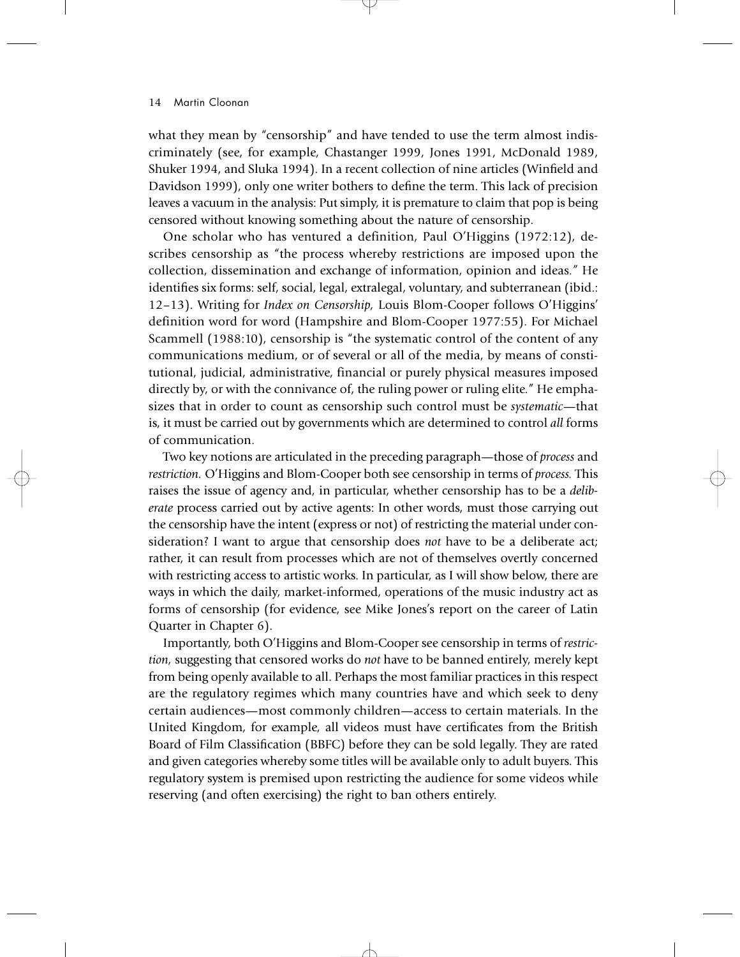what they mean by "censorship" and have tended to use the term almost indiscriminately (see, for example, Chastanger 1999, Jones 1991, McDonald 1989, Shuker 1994, and Sluka 1994). In a recent collection of nine articles (Winfield and Davidson 1999), only one writer bothers to define the term. This lack of precision leaves a vacuum in the analysis: Put simply, it is premature to claim that pop is being censored without knowing something about the nature of censorship.

One scholar who has ventured a definition, Paul O'Higgins (1972:12), describes censorship as "the process whereby restrictions are imposed upon the collection, dissemination and exchange of information, opinion and ideas." He identifies six forms: self, social, legal, extralegal, voluntary, and subterranean (ibid.: 12–13). Writing for *Index on Censorship,* Louis Blom-Cooper follows O'Higgins' definition word for word (Hampshire and Blom-Cooper 1977:55). For Michael Scammell (1988:10), censorship is "the systematic control of the content of any communications medium, or of several or all of the media, by means of constitutional, judicial, administrative, financial or purely physical measures imposed directly by, or with the connivance of, the ruling power or ruling elite." He emphasizes that in order to count as censorship such control must be *systematic*—that is, it must be carried out by governments which are determined to control *all* forms of communication.

Two key notions are articulated in the preceding paragraph—those of *process* and *restriction.* O'Higgins and Blom-Cooper both see censorship in terms of *process.* This raises the issue of agency and, in particular, whether censorship has to be a *deliberate* process carried out by active agents: In other words, must those carrying out the censorship have the intent (express or not) of restricting the material under consideration? I want to argue that censorship does *not* have to be a deliberate act; rather, it can result from processes which are not of themselves overtly concerned with restricting access to artistic works. In particular, as I will show below, there are ways in which the daily, market-informed, operations of the music industry act as forms of censorship (for evidence, see Mike Jones's report on the career of Latin Quarter in Chapter 6).

Importantly, both O'Higgins and Blom-Cooper see censorship in terms of *restriction,* suggesting that censored works do *not* have to be banned entirely, merely kept from being openly available to all. Perhaps the most familiar practices in this respect are the regulatory regimes which many countries have and which seek to deny certain audiences—most commonly children—access to certain materials. In the United Kingdom, for example, all videos must have certificates from the British Board of Film Classification (BBFC) before they can be sold legally. They are rated and given categories whereby some titles will be available only to adult buyers. This regulatory system is premised upon restricting the audience for some videos while reserving (and often exercising) the right to ban others entirely.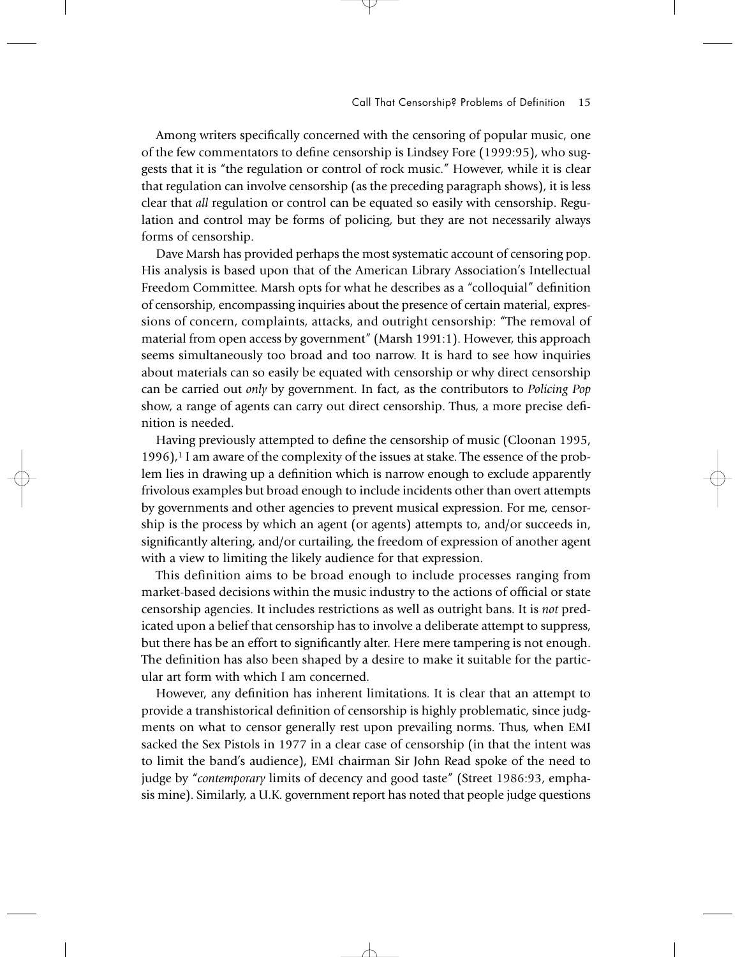Among writers specifically concerned with the censoring of popular music, one of the few commentators to define censorship is Lindsey Fore (1999:95), who suggests that it is "the regulation or control of rock music." However, while it is clear that regulation can involve censorship (as the preceding paragraph shows), it is less clear that *all* regulation or control can be equated so easily with censorship. Regulation and control may be forms of policing, but they are not necessarily always forms of censorship.

Dave Marsh has provided perhaps the most systematic account of censoring pop. His analysis is based upon that of the American Library Association's Intellectual Freedom Committee. Marsh opts for what he describes as a "colloquial" definition of censorship, encompassing inquiries about the presence of certain material, expressions of concern, complaints, attacks, and outright censorship: "The removal of material from open access by government" (Marsh 1991:1). However, this approach seems simultaneously too broad and too narrow. It is hard to see how inquiries about materials can so easily be equated with censorship or why direct censorship can be carried out *only* by government. In fact, as the contributors to *Policing Pop* show, a range of agents can carry out direct censorship. Thus, a more precise definition is needed.

Having previously attempted to define the censorship of music (Cloonan 1995, 1996), $1$  I am aware of the complexity of the issues at stake. The essence of the problem lies in drawing up a definition which is narrow enough to exclude apparently frivolous examples but broad enough to include incidents other than overt attempts by governments and other agencies to prevent musical expression. For me, censorship is the process by which an agent (or agents) attempts to, and/or succeeds in, significantly altering, and/or curtailing, the freedom of expression of another agent with a view to limiting the likely audience for that expression.

This definition aims to be broad enough to include processes ranging from market-based decisions within the music industry to the actions of official or state censorship agencies. It includes restrictions as well as outright bans. It is *not* predicated upon a belief that censorship has to involve a deliberate attempt to suppress, but there has be an effort to significantly alter. Here mere tampering is not enough. The definition has also been shaped by a desire to make it suitable for the particular art form with which I am concerned.

However, any definition has inherent limitations. It is clear that an attempt to provide a transhistorical definition of censorship is highly problematic, since judgments on what to censor generally rest upon prevailing norms. Thus, when EMI sacked the Sex Pistols in 1977 in a clear case of censorship (in that the intent was to limit the band's audience), EMI chairman Sir John Read spoke of the need to judge by "*contemporary* limits of decency and good taste" (Street 1986:93, emphasis mine). Similarly, a U.K. government report has noted that people judge questions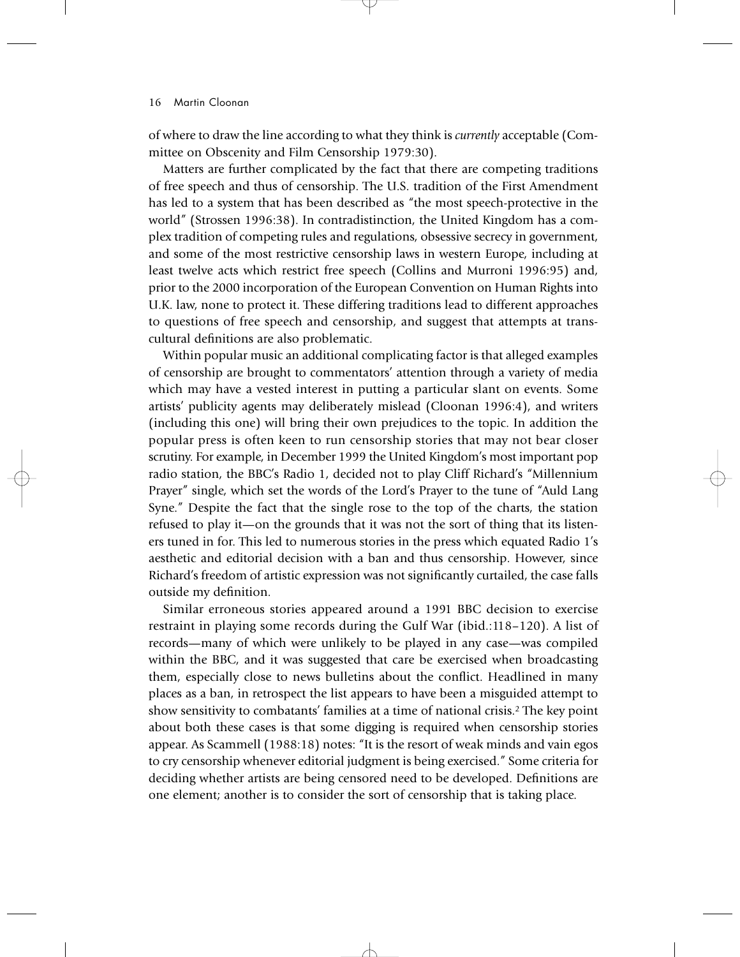of where to draw the line according to what they think is *currently* acceptable (Committee on Obscenity and Film Censorship 1979:30).

Matters are further complicated by the fact that there are competing traditions of free speech and thus of censorship. The U.S. tradition of the First Amendment has led to a system that has been described as "the most speech-protective in the world" (Strossen 1996:38). In contradistinction, the United Kingdom has a complex tradition of competing rules and regulations, obsessive secrecy in government, and some of the most restrictive censorship laws in western Europe, including at least twelve acts which restrict free speech (Collins and Murroni 1996:95) and, prior to the 2000 incorporation of the European Convention on Human Rights into U.K. law, none to protect it. These differing traditions lead to different approaches to questions of free speech and censorship, and suggest that attempts at transcultural definitions are also problematic.

Within popular music an additional complicating factor is that alleged examples of censorship are brought to commentators' attention through a variety of media which may have a vested interest in putting a particular slant on events. Some artists' publicity agents may deliberately mislead (Cloonan 1996:4), and writers (including this one) will bring their own prejudices to the topic. In addition the popular press is often keen to run censorship stories that may not bear closer scrutiny. For example, in December 1999 the United Kingdom's most important pop radio station, the BBC's Radio 1, decided not to play Cliff Richard's "Millennium Prayer" single, which set the words of the Lord's Prayer to the tune of "Auld Lang Syne." Despite the fact that the single rose to the top of the charts, the station refused to play it—on the grounds that it was not the sort of thing that its listeners tuned in for. This led to numerous stories in the press which equated Radio 1's aesthetic and editorial decision with a ban and thus censorship. However, since Richard's freedom of artistic expression was not significantly curtailed, the case falls outside my definition.

Similar erroneous stories appeared around a 1991 BBC decision to exercise restraint in playing some records during the Gulf War (ibid.:118–120). A list of records—many of which were unlikely to be played in any case—was compiled within the BBC, and it was suggested that care be exercised when broadcasting them, especially close to news bulletins about the conflict. Headlined in many places as a ban, in retrospect the list appears to have been a misguided attempt to show sensitivity to combatants' families at a time of national crisis.<sup>2</sup> The key point about both these cases is that some digging is required when censorship stories appear. As Scammell (1988:18) notes: "It is the resort of weak minds and vain egos to cry censorship whenever editorial judgment is being exercised." Some criteria for deciding whether artists are being censored need to be developed. Definitions are one element; another is to consider the sort of censorship that is taking place.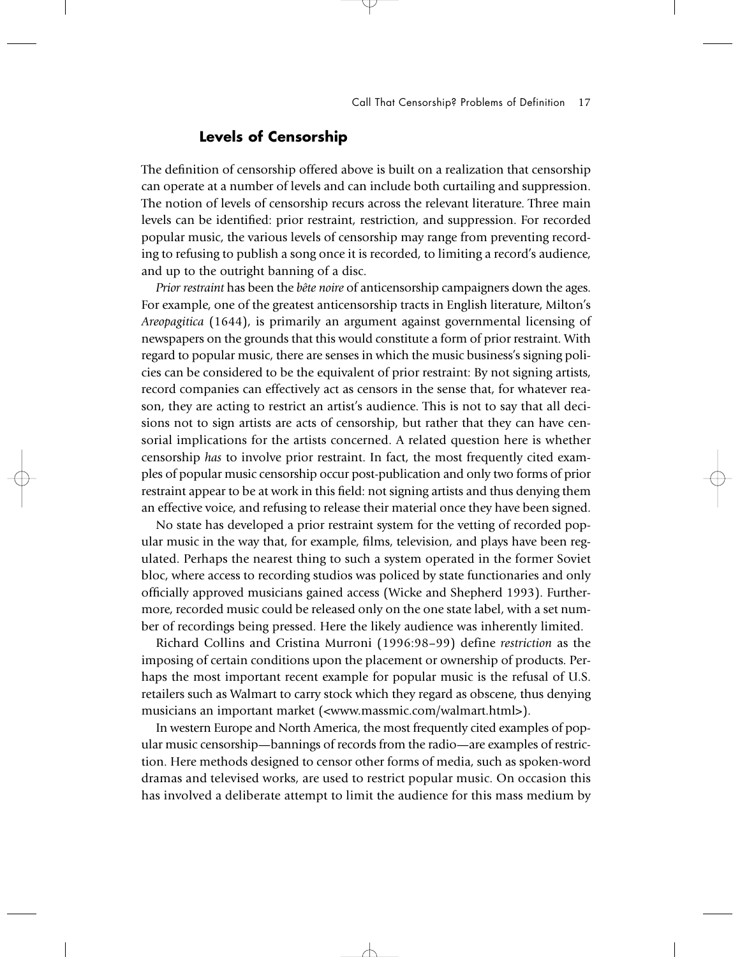#### **Levels of Censorship**

The definition of censorship offered above is built on a realization that censorship can operate at a number of levels and can include both curtailing and suppression. The notion of levels of censorship recurs across the relevant literature. Three main levels can be identified: prior restraint, restriction, and suppression. For recorded popular music, the various levels of censorship may range from preventing recording to refusing to publish a song once it is recorded, to limiting a record's audience, and up to the outright banning of a disc.

*Prior restraint* has been the *bête noire* of anticensorship campaigners down the ages. For example, one of the greatest anticensorship tracts in English literature, Milton's *Areopagitica* (1644), is primarily an argument against governmental licensing of newspapers on the grounds that this would constitute a form of prior restraint. With regard to popular music, there are senses in which the music business's signing policies can be considered to be the equivalent of prior restraint: By not signing artists, record companies can effectively act as censors in the sense that, for whatever reason, they are acting to restrict an artist's audience. This is not to say that all decisions not to sign artists are acts of censorship, but rather that they can have censorial implications for the artists concerned. A related question here is whether censorship *has* to involve prior restraint. In fact, the most frequently cited examples of popular music censorship occur post-publication and only two forms of prior restraint appear to be at work in this field: not signing artists and thus denying them an effective voice, and refusing to release their material once they have been signed.

No state has developed a prior restraint system for the vetting of recorded popular music in the way that, for example, films, television, and plays have been regulated. Perhaps the nearest thing to such a system operated in the former Soviet bloc, where access to recording studios was policed by state functionaries and only officially approved musicians gained access (Wicke and Shepherd 1993). Furthermore, recorded music could be released only on the one state label, with a set number of recordings being pressed. Here the likely audience was inherently limited.

Richard Collins and Cristina Murroni (1996:98–99) define *restriction* as the imposing of certain conditions upon the placement or ownership of products. Perhaps the most important recent example for popular music is the refusal of U.S. retailers such as Walmart to carry stock which they regard as obscene, thus denying musicians an important market (<www.massmic.com/walmart.html>).

In western Europe and North America, the most frequently cited examples of popular music censorship—bannings of records from the radio—are examples of restriction. Here methods designed to censor other forms of media, such as spoken-word dramas and televised works, are used to restrict popular music. On occasion this has involved a deliberate attempt to limit the audience for this mass medium by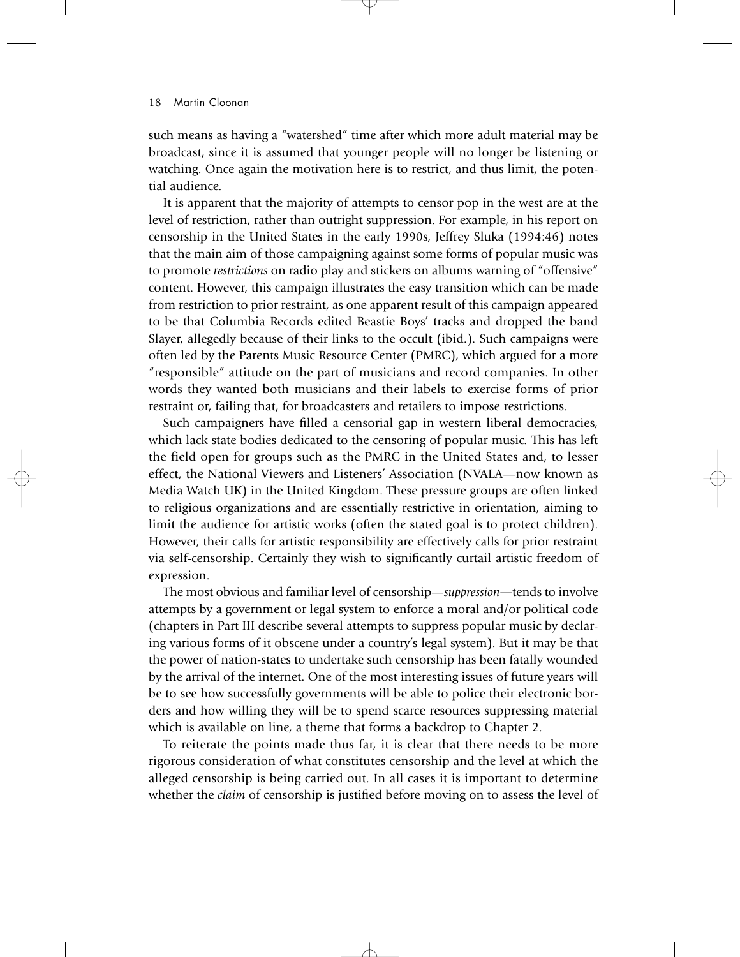such means as having a "watershed" time after which more adult material may be broadcast, since it is assumed that younger people will no longer be listening or watching. Once again the motivation here is to restrict, and thus limit, the potential audience.

It is apparent that the majority of attempts to censor pop in the west are at the level of restriction, rather than outright suppression. For example, in his report on censorship in the United States in the early 1990s, Jeffrey Sluka (1994:46) notes that the main aim of those campaigning against some forms of popular music was to promote *restrictions* on radio play and stickers on albums warning of "offensive" content. However, this campaign illustrates the easy transition which can be made from restriction to prior restraint, as one apparent result of this campaign appeared to be that Columbia Records edited Beastie Boys' tracks and dropped the band Slayer, allegedly because of their links to the occult (ibid.). Such campaigns were often led by the Parents Music Resource Center (PMRC), which argued for a more "responsible" attitude on the part of musicians and record companies. In other words they wanted both musicians and their labels to exercise forms of prior restraint or, failing that, for broadcasters and retailers to impose restrictions.

Such campaigners have filled a censorial gap in western liberal democracies, which lack state bodies dedicated to the censoring of popular music*.* This has left the field open for groups such as the PMRC in the United States and, to lesser effect, the National Viewers and Listeners' Association (NVALA—now known as Media Watch UK) in the United Kingdom. These pressure groups are often linked to religious organizations and are essentially restrictive in orientation, aiming to limit the audience for artistic works (often the stated goal is to protect children). However, their calls for artistic responsibility are effectively calls for prior restraint via self-censorship. Certainly they wish to significantly curtail artistic freedom of expression.

The most obvious and familiar level of censorship—*suppression—*tends to involve attempts by a government or legal system to enforce a moral and/or political code (chapters in Part III describe several attempts to suppress popular music by declaring various forms of it obscene under a country's legal system). But it may be that the power of nation-states to undertake such censorship has been fatally wounded by the arrival of the internet. One of the most interesting issues of future years will be to see how successfully governments will be able to police their electronic borders and how willing they will be to spend scarce resources suppressing material which is available on line, a theme that forms a backdrop to Chapter 2.

To reiterate the points made thus far, it is clear that there needs to be more rigorous consideration of what constitutes censorship and the level at which the alleged censorship is being carried out. In all cases it is important to determine whether the *claim* of censorship is justified before moving on to assess the level of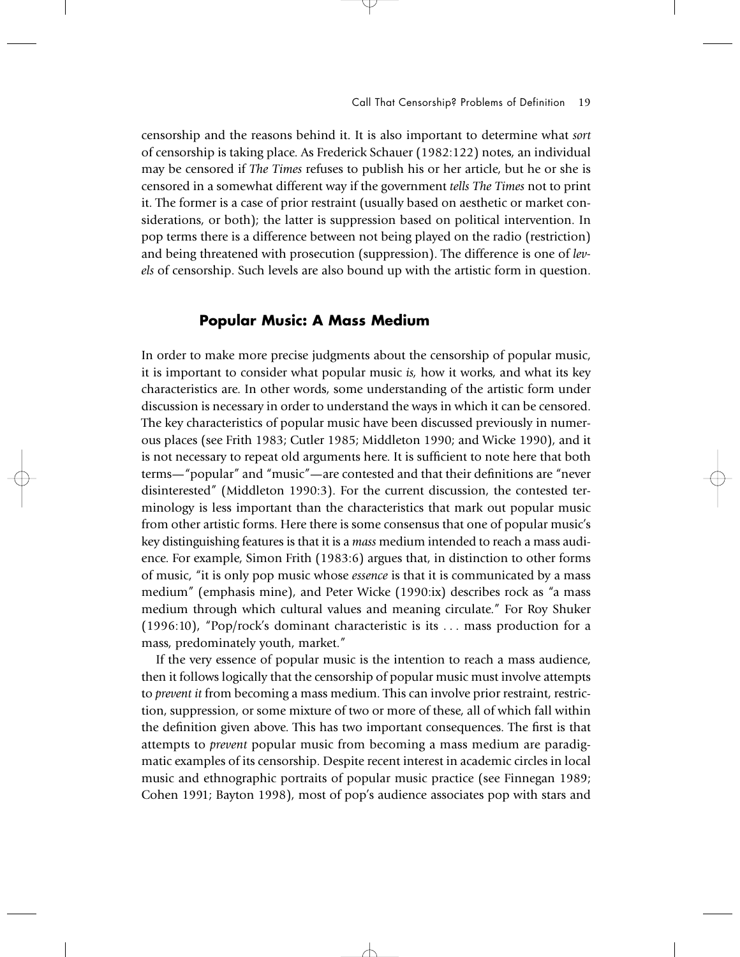censorship and the reasons behind it. It is also important to determine what *sort* of censorship is taking place. As Frederick Schauer (1982:122) notes, an individual may be censored if *The Times* refuses to publish his or her article, but he or she is censored in a somewhat different way if the government *tells The Times* not to print it. The former is a case of prior restraint (usually based on aesthetic or market considerations, or both); the latter is suppression based on political intervention. In pop terms there is a difference between not being played on the radio (restriction) and being threatened with prosecution (suppression). The difference is one of *levels* of censorship. Such levels are also bound up with the artistic form in question.

### **Popular Music: A Mass Medium**

In order to make more precise judgments about the censorship of popular music, it is important to consider what popular music *is,* how it works, and what its key characteristics are. In other words, some understanding of the artistic form under discussion is necessary in order to understand the ways in which it can be censored. The key characteristics of popular music have been discussed previously in numerous places (see Frith 1983; Cutler 1985; Middleton 1990; and Wicke 1990), and it is not necessary to repeat old arguments here. It is sufficient to note here that both terms—"popular" and "music"—are contested and that their definitions are "never disinterested" (Middleton 1990:3). For the current discussion, the contested terminology is less important than the characteristics that mark out popular music from other artistic forms. Here there is some consensus that one of popular music's key distinguishing features is that it is a *mass* medium intended to reach a mass audience. For example, Simon Frith (1983:6) argues that, in distinction to other forms of music, "it is only pop music whose *essence* is that it is communicated by a mass medium" (emphasis mine), and Peter Wicke (1990:ix) describes rock as "a mass medium through which cultural values and meaning circulate." For Roy Shuker (1996:10), "Pop/rock's dominant characteristic is its . . . mass production for a mass, predominately youth, market."

If the very essence of popular music is the intention to reach a mass audience, then it follows logically that the censorship of popular music must involve attempts to *prevent it* from becoming a mass medium. This can involve prior restraint, restriction, suppression, or some mixture of two or more of these, all of which fall within the definition given above. This has two important consequences. The first is that attempts to *prevent* popular music from becoming a mass medium are paradigmatic examples of its censorship. Despite recent interest in academic circles in local music and ethnographic portraits of popular music practice (see Finnegan 1989; Cohen 1991; Bayton 1998), most of pop's audience associates pop with stars and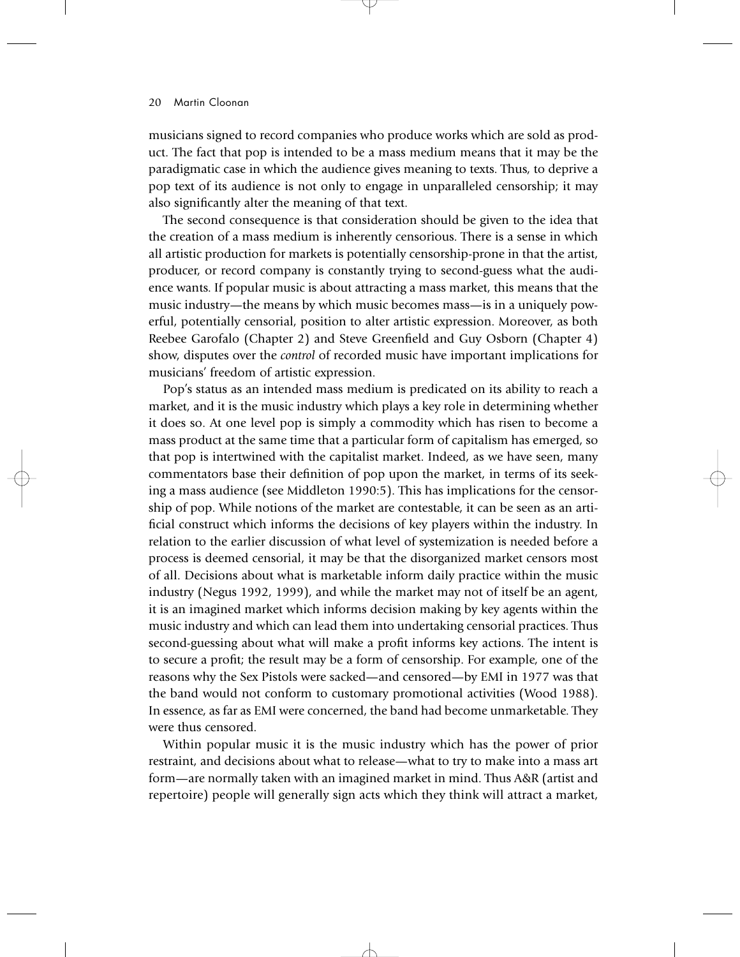musicians signed to record companies who produce works which are sold as product. The fact that pop is intended to be a mass medium means that it may be the paradigmatic case in which the audience gives meaning to texts. Thus, to deprive a pop text of its audience is not only to engage in unparalleled censorship; it may also significantly alter the meaning of that text.

The second consequence is that consideration should be given to the idea that the creation of a mass medium is inherently censorious. There is a sense in which all artistic production for markets is potentially censorship-prone in that the artist, producer, or record company is constantly trying to second-guess what the audience wants. If popular music is about attracting a mass market, this means that the music industry—the means by which music becomes mass—is in a uniquely powerful, potentially censorial, position to alter artistic expression. Moreover, as both Reebee Garofalo (Chapter 2) and Steve Greenfield and Guy Osborn (Chapter 4) show, disputes over the *control* of recorded music have important implications for musicians' freedom of artistic expression.

Pop's status as an intended mass medium is predicated on its ability to reach a market, and it is the music industry which plays a key role in determining whether it does so. At one level pop is simply a commodity which has risen to become a mass product at the same time that a particular form of capitalism has emerged, so that pop is intertwined with the capitalist market. Indeed, as we have seen, many commentators base their definition of pop upon the market, in terms of its seeking a mass audience (see Middleton 1990:5). This has implications for the censorship of pop. While notions of the market are contestable, it can be seen as an artificial construct which informs the decisions of key players within the industry. In relation to the earlier discussion of what level of systemization is needed before a process is deemed censorial, it may be that the disorganized market censors most of all. Decisions about what is marketable inform daily practice within the music industry (Negus 1992, 1999), and while the market may not of itself be an agent, it is an imagined market which informs decision making by key agents within the music industry and which can lead them into undertaking censorial practices. Thus second-guessing about what will make a profit informs key actions. The intent is to secure a profit; the result may be a form of censorship. For example, one of the reasons why the Sex Pistols were sacked—and censored—by EMI in 1977 was that the band would not conform to customary promotional activities (Wood 1988). In essence, as far as EMI were concerned, the band had become unmarketable. They were thus censored.

Within popular music it is the music industry which has the power of prior restraint, and decisions about what to release—what to try to make into a mass art form—are normally taken with an imagined market in mind. Thus A&R (artist and repertoire) people will generally sign acts which they think will attract a market,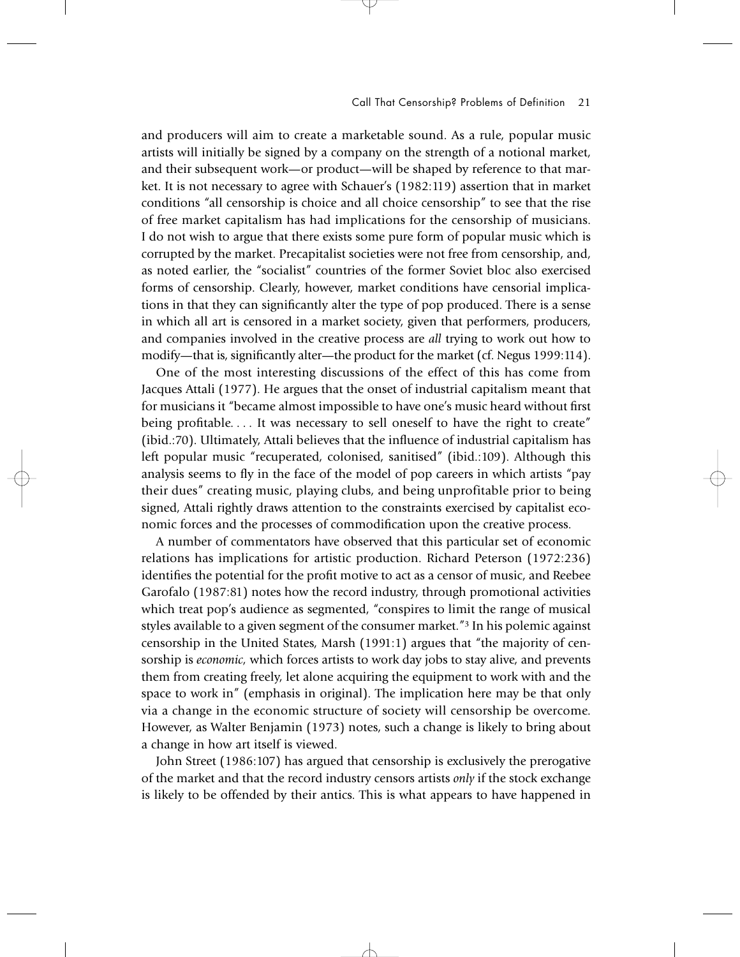and producers will aim to create a marketable sound. As a rule, popular music artists will initially be signed by a company on the strength of a notional market, and their subsequent work—or product—will be shaped by reference to that market. It is not necessary to agree with Schauer's (1982:119) assertion that in market conditions "all censorship is choice and all choice censorship" to see that the rise of free market capitalism has had implications for the censorship of musicians. I do not wish to argue that there exists some pure form of popular music which is corrupted by the market. Precapitalist societies were not free from censorship, and, as noted earlier, the "socialist" countries of the former Soviet bloc also exercised forms of censorship. Clearly, however, market conditions have censorial implications in that they can significantly alter the type of pop produced. There is a sense in which all art is censored in a market society, given that performers, producers, and companies involved in the creative process are *all* trying to work out how to modify—that is, significantly alter—the product for the market (cf. Negus 1999:114).

One of the most interesting discussions of the effect of this has come from Jacques Attali (1977). He argues that the onset of industrial capitalism meant that for musicians it "became almost impossible to have one's music heard without first being profitable.... It was necessary to sell oneself to have the right to create" (ibid.:70). Ultimately, Attali believes that the influence of industrial capitalism has left popular music "recuperated, colonised, sanitised" (ibid.:109). Although this analysis seems to fly in the face of the model of pop careers in which artists "pay their dues" creating music, playing clubs, and being unprofitable prior to being signed, Attali rightly draws attention to the constraints exercised by capitalist economic forces and the processes of commodification upon the creative process.

A number of commentators have observed that this particular set of economic relations has implications for artistic production. Richard Peterson (1972:236) identifies the potential for the profit motive to act as a censor of music, and Reebee Garofalo (1987:81) notes how the record industry, through promotional activities which treat pop's audience as segmented, "conspires to limit the range of musical styles available to a given segment of the consumer market."3 In his polemic against censorship in the United States, Marsh (1991:1) argues that "the majority of censorship is *economic,* which forces artists to work day jobs to stay alive, and prevents them from creating freely, let alone acquiring the equipment to work with and the space to work in" (emphasis in original). The implication here may be that only via a change in the economic structure of society will censorship be overcome. However, as Walter Benjamin (1973) notes, such a change is likely to bring about a change in how art itself is viewed.

John Street (1986:107) has argued that censorship is exclusively the prerogative of the market and that the record industry censors artists *only* if the stock exchange is likely to be offended by their antics. This is what appears to have happened in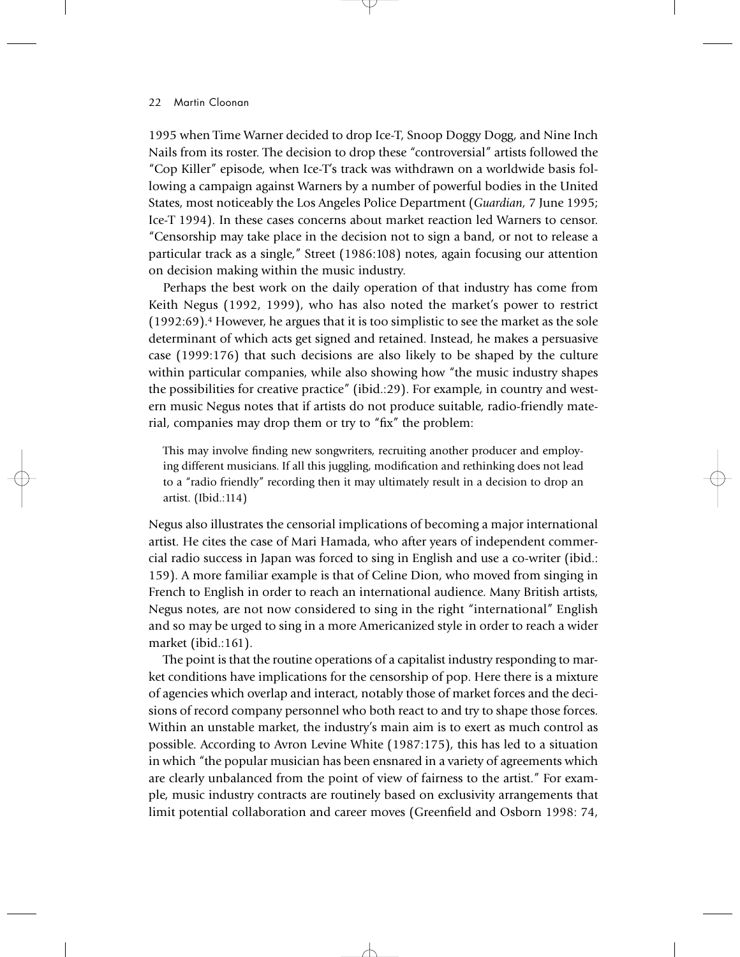1995 when Time Warner decided to drop Ice-T, Snoop Doggy Dogg, and Nine Inch Nails from its roster. The decision to drop these "controversial" artists followed the "Cop Killer" episode, when Ice-T's track was withdrawn on a worldwide basis following a campaign against Warners by a number of powerful bodies in the United States, most noticeably the Los Angeles Police Department (*Guardian,* 7 June 1995; Ice-T 1994). In these cases concerns about market reaction led Warners to censor. "Censorship may take place in the decision not to sign a band, or not to release a particular track as a single," Street (1986:108) notes, again focusing our attention on decision making within the music industry.

Perhaps the best work on the daily operation of that industry has come from Keith Negus (1992, 1999), who has also noted the market's power to restrict (1992:69).4 However, he argues that it is too simplistic to see the market as the sole determinant of which acts get signed and retained. Instead, he makes a persuasive case (1999:176) that such decisions are also likely to be shaped by the culture within particular companies, while also showing how "the music industry shapes the possibilities for creative practice" (ibid.:29). For example, in country and western music Negus notes that if artists do not produce suitable, radio-friendly material, companies may drop them or try to "fix" the problem:

This may involve finding new songwriters, recruiting another producer and employing different musicians. If all this juggling, modification and rethinking does not lead to a "radio friendly" recording then it may ultimately result in a decision to drop an artist. (Ibid.:114)

Negus also illustrates the censorial implications of becoming a major international artist. He cites the case of Mari Hamada, who after years of independent commercial radio success in Japan was forced to sing in English and use a co-writer (ibid.: 159). A more familiar example is that of Celine Dion, who moved from singing in French to English in order to reach an international audience. Many British artists, Negus notes, are not now considered to sing in the right "international" English and so may be urged to sing in a more Americanized style in order to reach a wider market (ibid.:161).

The point is that the routine operations of a capitalist industry responding to market conditions have implications for the censorship of pop. Here there is a mixture of agencies which overlap and interact, notably those of market forces and the decisions of record company personnel who both react to and try to shape those forces. Within an unstable market, the industry's main aim is to exert as much control as possible. According to Avron Levine White (1987:175), this has led to a situation in which "the popular musician has been ensnared in a variety of agreements which are clearly unbalanced from the point of view of fairness to the artist." For example, music industry contracts are routinely based on exclusivity arrangements that limit potential collaboration and career moves (Greenfield and Osborn 1998: 74,